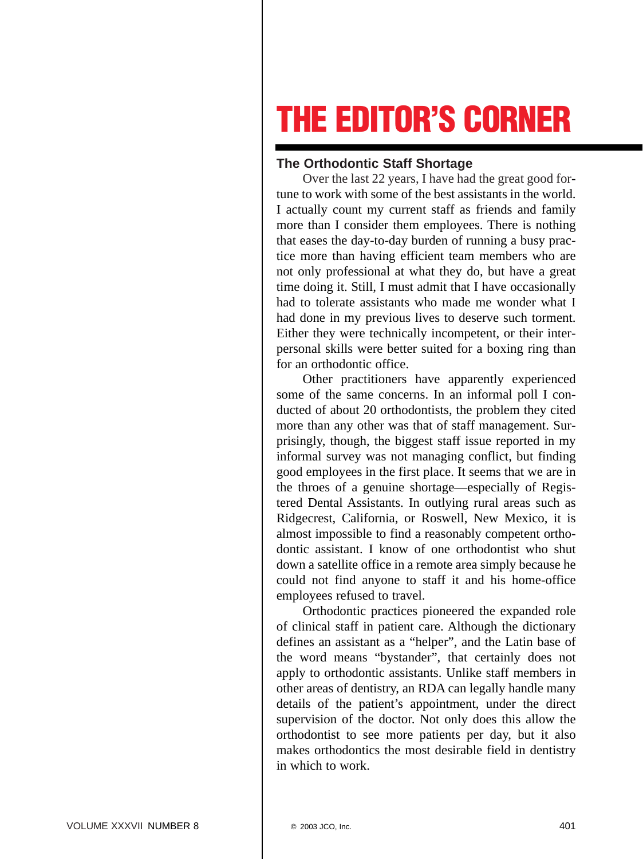## **THE EDITOR'S CORNER**

## **The Orthodontic Staff Shortage**

Over the last 22 years, I have had the great good fortune to work with some of the best assistants in the world. I actually count my current staff as friends and family more than I consider them employees. There is nothing that eases the day-to-day burden of running a busy practice more than having efficient team members who are not only professional at what they do, but have a great time doing it. Still, I must admit that I have occasionally had to tolerate assistants who made me wonder what I had done in my previous lives to deserve such torment. Either they were technically incompetent, or their interpersonal skills were better suited for a boxing ring than for an orthodontic office.

Other practitioners have apparently experienced some of the same concerns. In an informal poll I conducted of about 20 orthodontists, the problem they cited more than any other was that of staff management. Surprisingly, though, the biggest staff issue reported in my informal survey was not managing conflict, but finding good employees in the first place. It seems that we are in the throes of a genuine shortage—especially of Registered Dental Assistants. In outlying rural areas such as Ridgecrest, California, or Roswell, New Mexico, it is almost impossible to find a reasonably competent orthodontic assistant. I know of one orthodontist who shut down a satellite office in a remote area simply because he could not find anyone to staff it and his home-office employees refused to travel.

Orthodontic practices pioneered the expanded role of clinical staff in patient care. Although the dictionary defines an assistant as a "helper", and the Latin base of the word means "bystander", that certainly does not apply to orthodontic assistants. Unlike staff members in other areas of dentistry, an RDA can legally handle many details of the patient's appointment, under the direct supervision of the doctor. Not only does this allow the orthodontist to see more patients per day, but it also makes orthodontics the most desirable field in dentistry in which to work.